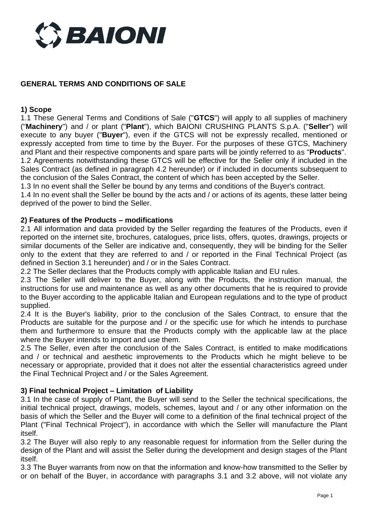

# **GENERAL TERMS AND CONDITIONS OF SALE**

#### **1) Scope**

1.1 These General Terms and Conditions of Sale ("**GTCS**") will apply to all supplies of machinery ("**Machinery**") and / or plant ("**Plant**"), which BAIONI CRUSHING PLANTS S.p.A. ("**Seller**") will execute to any buyer ("**Buyer**"), even if the GTCS will not be expressly recalled, mentioned or expressly accepted from time to time by the Buyer. For the purposes of these GTCS, Machinery and Plant and their respective components and spare parts will be jointly referred to as "**Products**". 1.2 Agreements notwithstanding these GTCS will be effective for the Seller only if included in the Sales Contract (as defined in paragraph 4.2 hereunder) or if included in documents subsequent to the conclusion of the Sales Contract, the content of which has been accepted by the Seller.

1.3 In no event shall the Seller be bound by any terms and conditions of the Buyer's contract.

1.4 In no event shall the Seller be bound by the acts and / or actions of its agents, these latter being deprived of the power to bind the Seller.

#### **2) Features of the Products – modifications**

2.1 All information and data provided by the Seller regarding the features of the Products, even if reported on the internet site, brochures, catalogues, price lists, offers, quotes, drawings, projects or similar documents of the Seller are indicative and, consequently, they will be binding for the Seller only to the extent that they are referred to and / or reported in the Final Technical Project (as defined in Section 3.1 hereunder) and / or in the Sales Contract.

2.2 The Seller declares that the Products comply with applicable Italian and EU rules.

2.3 The Seller will deliver to the Buyer, along with the Products, the instruction manual, the instructions for use and maintenance as well as any other documents that he is required to provide to the Buyer according to the applicable Italian and European regulations and to the type of product supplied.

2.4 It is the Buyer's liability, prior to the conclusion of the Sales Contract, to ensure that the Products are suitable for the purpose and / or the specific use for which he intends to purchase them and furthermore to ensure that the Products comply with the applicable law at the place where the Buyer intends to import and use them.

2.5 The Seller, even after the conclusion of the Sales Contract, is entitled to make modifications and / or technical and aesthetic improvements to the Products which he might believe to be necessary or appropriate, provided that it does not alter the essential characteristics agreed under the Final Technical Project and / or the Sales Agreement.

## **3) Final technical Project – Limitation of Liability**

3.1 In the case of supply of Plant, the Buyer will send to the Seller the technical specifications, the initial technical project, drawings, models, schemes, layout and / or any other information on the basis of which the Seller and the Buyer will come to a definition of the final technical project of the Plant ("Final Technical Project"), in accordance with which the Seller will manufacture the Plant itself.

3.2 The Buyer will also reply to any reasonable request for information from the Seller during the design of the Plant and will assist the Seller during the development and design stages of the Plant itself.

3.3 The Buyer warrants from now on that the information and know-how transmitted to the Seller by or on behalf of the Buyer, in accordance with paragraphs 3.1 and 3.2 above, will not violate any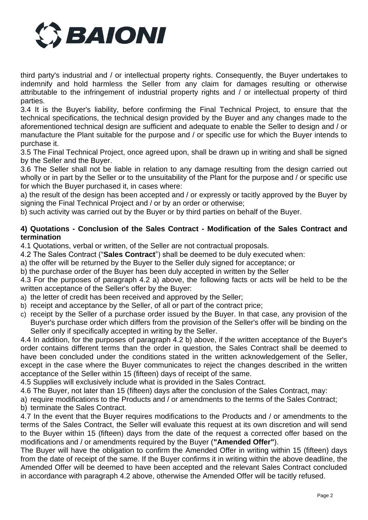

third party's industrial and / or intellectual property rights. Consequently, the Buyer undertakes to indemnify and hold harmless the Seller from any claim for damages resulting or otherwise attributable to the infringement of industrial property rights and / or intellectual property of third parties.

3.4 It is the Buyer's liability, before confirming the Final Technical Project, to ensure that the technical specifications, the technical design provided by the Buyer and any changes made to the aforementioned technical design are sufficient and adequate to enable the Seller to design and / or manufacture the Plant suitable for the purpose and / or specific use for which the Buyer intends to purchase it.

3.5 The Final Technical Project, once agreed upon, shall be drawn up in writing and shall be signed by the Seller and the Buyer.

3.6 The Seller shall not be liable in relation to any damage resulting from the design carried out wholly or in part by the Seller or to the unsuitability of the Plant for the purpose and / or specific use for which the Buyer purchased it, in cases where:

a) the result of the design has been accepted and / or expressly or tacitly approved by the Buyer by signing the Final Technical Project and / or by an order or otherwise;

b) such activity was carried out by the Buyer or by third parties on behalf of the Buyer.

## **4) Quotations - Conclusion of the Sales Contract - Modification of the Sales Contract and termination**

4.1 Quotations, verbal or written, of the Seller are not contractual proposals.

4.2 The Sales Contract ("**Sales Contract**") shall be deemed to be duly executed when:

a) the offer will be returned by the Buyer to the Seller duly signed for acceptance; or

b) the purchase order of the Buyer has been duly accepted in written by the Seller

4.3 For the purposes of paragraph 4.2 a) above, the following facts or acts will be held to be the written acceptance of the Seller's offer by the Buyer:

- a) the letter of credit has been received and approved by the Seller;
- b) receipt and acceptance by the Seller, of all or part of the contract price;
- c) receipt by the Seller of a purchase order issued by the Buyer. In that case, any provision of the Buyer's purchase order which differs from the provision of the Seller's offer will be binding on the Seller only if specifically accepted in writing by the Seller.

4.4 In addition, for the purposes of paragraph 4.2 b) above, if the written acceptance of the Buyer's order contains different terms than the order in question, the Sales Contract shall be deemed to have been concluded under the conditions stated in the written acknowledgement of the Seller, except in the case where the Buyer communicates to reject the changes described in the written acceptance of the Seller within 15 (fifteen) days of receipt of the same.

4.5 Supplies will exclusively include what is provided in the Sales Contract.

4.6 The Buyer, not later than 15 (fifteen) days after the conclusion of the Sales Contract, may:

a) require modifications to the Products and / or amendments to the terms of the Sales Contract;

b) terminate the Sales Contract.

4.7 In the event that the Buyer requires modifications to the Products and / or amendments to the terms of the Sales Contract, the Seller will evaluate this request at its own discretion and will send to the Buyer within 15 (fifteen) days from the date of the request a corrected offer based on the modifications and / or amendments required by the Buyer (**"Amended Offer"**).

The Buyer will have the obligation to confirm the Amended Offer in writing within 15 (fifteen) days from the date of receipt of the same. If the Buyer confirms it in writing within the above deadline, the Amended Offer will be deemed to have been accepted and the relevant Sales Contract concluded in accordance with paragraph 4.2 above, otherwise the Amended Offer will be tacitly refused.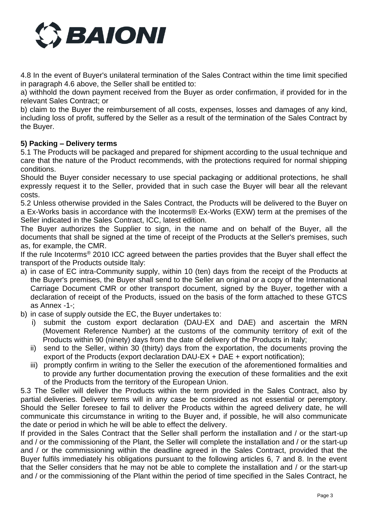

4.8 In the event of Buyer's unilateral termination of the Sales Contract within the time limit specified in paragraph 4.6 above, the Seller shall be entitled to:

a) withhold the down payment received from the Buyer as order confirmation, if provided for in the relevant Sales Contract; or

b) claim to the Buyer the reimbursement of all costs, expenses, losses and damages of any kind, including loss of profit, suffered by the Seller as a result of the termination of the Sales Contract by the Buyer.

## **5) Packing – Delivery terms**

5.1 The Products will be packaged and prepared for shipment according to the usual technique and care that the nature of the Product recommends, with the protections required for normal shipping conditions.

Should the Buyer consider necessary to use special packaging or additional protections, he shall expressly request it to the Seller, provided that in such case the Buyer will bear all the relevant costs.

5.2 Unless otherwise provided in the Sales Contract, the Products will be delivered to the Buyer on a Ex-Works basis in accordance with the Incoterms® Ex-Works (EXW) term at the premises of the Seller indicated in the Sales Contract, ICC, latest edition.

The Buyer authorizes the Supplier to sign, in the name and on behalf of the Buyer, all the documents that shall be signed at the time of receipt of the Products at the Seller's premises, such as, for example, the CMR.

If the rule Incoterms® 2010 ICC agreed between the parties provides that the Buyer shall effect the transport of the Products outside Italy:

- a) in case of EC intra-Community supply, within 10 (ten) days from the receipt of the Products at the Buyer's premises, the Buyer shall send to the Seller an original or a copy of the International Carriage Document CMR or other transport document, signed by the Buyer, together with a declaration of receipt of the Products, issued on the basis of the form attached to these GTCS as Annex -1-;
- b) in case of supply outside the EC, the Buyer undertakes to:
	- i) submit the custom export declaration (DAU-EX and DAE) and ascertain the MRN (Movement Reference Number) at the customs of the community territory of exit of the Products within 90 (ninety) days from the date of delivery of the Products in Italy;
	- ii) send to the Seller, within 30 (thirty) days from the exportation, the documents proving the export of the Products (export declaration DAU-EX + DAE + export notification);
	- iii) promptly confirm in writing to the Seller the execution of the aforementioned formalities and to provide any further documentation proving the execution of these formalities and the exit of the Products from the territory of the European Union.

5.3 The Seller will deliver the Products within the term provided in the Sales Contract, also by partial deliveries. Delivery terms will in any case be considered as not essential or peremptory. Should the Seller foresee to fail to deliver the Products within the agreed delivery date, he will communicate this circumstance in writing to the Buyer and, if possible, he will also communicate the date or period in which he will be able to effect the delivery.

If provided in the Sales Contract that the Seller shall perform the installation and / or the start-up and / or the commissioning of the Plant, the Seller will complete the installation and / or the start-up and / or the commissioning within the deadline agreed in the Sales Contract, provided that the Buyer fulfils immediately his obligations pursuant to the following articles 6, 7 and 8. In the event that the Seller considers that he may not be able to complete the installation and / or the start-up and / or the commissioning of the Plant within the period of time specified in the Sales Contract, he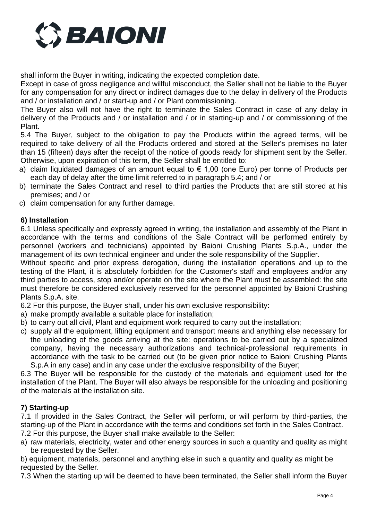

shall inform the Buyer in writing, indicating the expected completion date.

Except in case of gross negligence and willful misconduct, the Seller shall not be liable to the Buyer for any compensation for any direct or indirect damages due to the delay in delivery of the Products and / or installation and / or start-up and / or Plant commissioning.

The Buyer also will not have the right to terminate the Sales Contract in case of any delay in delivery of the Products and / or installation and / or in starting-up and / or commissioning of the Plant.

5.4 The Buyer, subject to the obligation to pay the Products within the agreed terms, will be required to take delivery of all the Products ordered and stored at the Seller's premises no later than 15 (fifteen) days after the receipt of the notice of goods ready for shipment sent by the Seller. Otherwise, upon expiration of this term, the Seller shall be entitled to:

- a) claim liquidated damages of an amount equal to  $\epsilon$  1,00 (one Euro) per tonne of Products per each day of delay after the time limit referred to in paragraph 5.4; and / or
- b) terminate the Sales Contract and resell to third parties the Products that are still stored at his premises; and / or
- c) claim compensation for any further damage.

## **6) Installation**

6.1 Unless specifically and expressly agreed in writing, the installation and assembly of the Plant in accordance with the terms and conditions of the Sale Contract will be performed entirely by personnel (workers and technicians) appointed by Baioni Crushing Plants S.p.A., under the management of its own technical engineer and under the sole responsibility of the Supplier.

Without specific and prior express derogation, during the installation operations and up to the testing of the Plant, it is absolutely forbidden for the Customer's staff and employees and/or any third parties to access, stop and/or operate on the site where the Plant must be assembled: the site must therefore be considered exclusively reserved for the personnel appointed by Baioni Crushing Plants S.p.A. site.

6.2 For this purpose, the Buyer shall, under his own exclusive responsibility:

- a) make promptly available a suitable place for installation;
- b) to carry out all civil, Plant and equipment work required to carry out the installation;
- c) supply all the equipment, lifting equipment and transport means and anything else necessary for the unloading of the goods arriving at the site: operations to be carried out by a specialized company, having the necessary authorizations and technical-professional requirements in accordance with the task to be carried out (to be given prior notice to Baioni Crushing Plants S.p.A in any case) and in any case under the exclusive responsibility of the Buyer;

6.3 The Buyer will be responsible for the custody of the materials and equipment used for the installation of the Plant. The Buyer will also always be responsible for the unloading and positioning of the materials at the installation site.

## **7) Starting-up**

7.1 If provided in the Sales Contract, the Seller will perform, or will perform by third-parties, the starting-up of the Plant in accordance with the terms and conditions set forth in the Sales Contract. 7.2 For this purpose, the Buyer shall make available to the Seller:

a) raw materials, electricity, water and other energy sources in such a quantity and quality as might be requested by the Seller.

b) equipment, materials, personnel and anything else in such a quantity and quality as might be requested by the Seller.

7.3 When the starting up will be deemed to have been terminated, the Seller shall inform the Buyer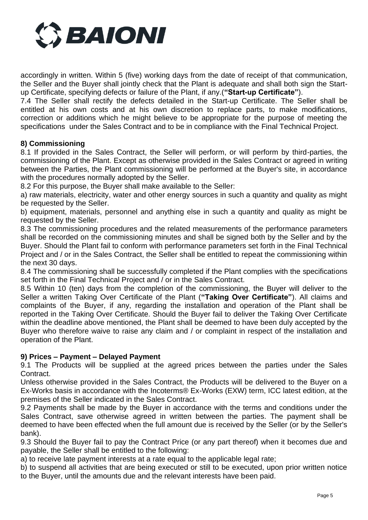

accordingly in written. Within 5 (five) working days from the date of receipt of that communication, the Seller and the Buyer shall jointly check that the Plant is adequate and shall both sign the Startup Certificate, specifying defects or failure of the Plant, if any.(**"Start-up Certificate"**).

7.4 The Seller shall rectify the defects detailed in the Start-up Certificate. The Seller shall be entitled at his own costs and at his own discretion to replace parts, to make modifications, correction or additions which he might believe to be appropriate for the purpose of meeting the specifications under the Sales Contract and to be in compliance with the Final Technical Project.

## **8) Commissioning**

8.1 If provided in the Sales Contract, the Seller will perform, or will perform by third-parties, the commissioning of the Plant. Except as otherwise provided in the Sales Contract or agreed in writing between the Parties, the Plant commissioning will be performed at the Buyer's site, in accordance with the procedures normally adopted by the Seller.

8.2 For this purpose, the Buyer shall make available to the Seller:

a) raw materials, electricity, water and other energy sources in such a quantity and quality as might be requested by the Seller.

b) equipment, materials, personnel and anything else in such a quantity and quality as might be requested by the Seller.

8.3 The commissioning procedures and the related measurements of the performance parameters shall be recorded on the commissioning minutes and shall be signed both by the Seller and by the Buyer. Should the Plant fail to conform with performance parameters set forth in the Final Technical Project and / or in the Sales Contract, the Seller shall be entitled to repeat the commissioning within the next 30 days.

8.4 The commissioning shall be successfully completed if the Plant complies with the specifications set forth in the Final Technical Project and / or in the Sales Contract.

8.5 Within 10 (ten) days from the completion of the commissioning, the Buyer will deliver to the Seller a written Taking Over Certificate of the Plant (**"Taking Over Certificate"**). All claims and complaints of the Buyer, if any, regarding the installation and operation of the Plant shall be reported in the Taking Over Certificate. Should the Buyer fail to deliver the Taking Over Certificate within the deadline above mentioned, the Plant shall be deemed to have been duly accepted by the Buyer who therefore waive to raise any claim and / or complaint in respect of the installation and operation of the Plant.

## **9) Prices – Payment – Delayed Payment**

9.1 The Products will be supplied at the agreed prices between the parties under the Sales Contract.

Unless otherwise provided in the Sales Contract, the Products will be delivered to the Buyer on a Ex-Works basis in accordance with the Incoterms® Ex-Works (EXW) term, ICC latest edition, at the premises of the Seller indicated in the Sales Contract.

9.2 Payments shall be made by the Buyer in accordance with the terms and conditions under the Sales Contract, save otherwise agreed in written between the parties. The payment shall be deemed to have been effected when the full amount due is received by the Seller (or by the Seller's bank).

9.3 Should the Buyer fail to pay the Contract Price (or any part thereof) when it becomes due and payable, the Seller shall be entitled to the following:

a) to receive late payment interests at a rate equal to the applicable legal rate;

b) to suspend all activities that are being executed or still to be executed, upon prior written notice to the Buyer, until the amounts due and the relevant interests have been paid.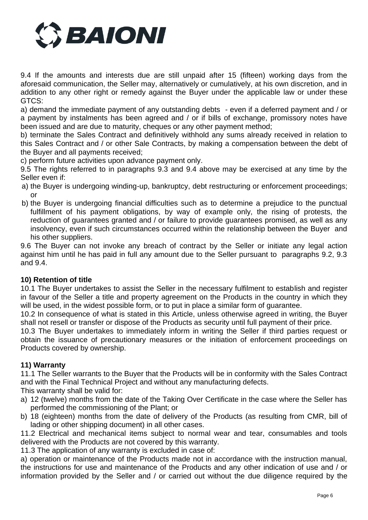

9.4 If the amounts and interests due are still unpaid after 15 (fifteen) working days from the aforesaid communication, the Seller may, alternatively or cumulatively, at his own discretion, and in addition to any other right or remedy against the Buyer under the applicable law or under these GTCS:

a) demand the immediate payment of any outstanding debts - even if a deferred payment and / or a payment by instalments has been agreed and / or if bills of exchange, promissory notes have been issued and are due to maturity, cheques or any other payment method;

b) terminate the Sales Contract and definitively withhold any sums already received in relation to this Sales Contract and / or other Sale Contracts, by making a compensation between the debt of the Buyer and all payments received;

c) perform future activities upon advance payment only.

9.5 The rights referred to in paragraphs 9.3 and 9.4 above may be exercised at any time by the Seller even if:

- a) the Buyer is undergoing winding-up, bankruptcy, debt restructuring or enforcement proceedings; or
- b) the Buyer is undergoing financial difficulties such as to determine a prejudice to the punctual fulfillment of his payment obligations, by way of example only, the rising of protests, the reduction of guarantees granted and / or failure to provide guarantees promised, as well as any insolvency, even if such circumstances occurred within the relationship between the Buyer and his other suppliers.

9.6 The Buyer can not invoke any breach of contract by the Seller or initiate any legal action against him until he has paid in full any amount due to the Seller pursuant to paragraphs 9.2, 9.3 and 9.4.

## **10) Retention of title**

10.1 The Buyer undertakes to assist the Seller in the necessary fulfilment to establish and register in favour of the Seller a title and property agreement on the Products in the country in which they will be used, in the widest possible form, or to put in place a similar form of guarantee.

10.2 In consequence of what is stated in this Article, unless otherwise agreed in writing, the Buyer shall not resell or transfer or dispose of the Products as security until full payment of their price.

10.3 The Buyer undertakes to immediately inform in writing the Seller if third parties request or obtain the issuance of precautionary measures or the initiation of enforcement proceedings on Products covered by ownership.

## **11) Warranty**

11.1 The Seller warrants to the Buyer that the Products will be in conformity with the Sales Contract and with the Final Technical Project and without any manufacturing defects.

This warranty shall be valid for:

- a) 12 (twelve) months from the date of the Taking Over Certificate in the case where the Seller has performed the commissioning of the Plant; or
- b) 18 (eighteen) months from the date of delivery of the Products (as resulting from CMR, bill of lading or other shipping document) in all other cases.

11.2 Electrical and mechanical items subject to normal wear and tear, consumables and tools delivered with the Products are not covered by this warranty.

11.3 The application of any warranty is excluded in case of:

a) operation or maintenance of the Products made not in accordance with the instruction manual, the instructions for use and maintenance of the Products and any other indication of use and / or information provided by the Seller and / or carried out without the due diligence required by the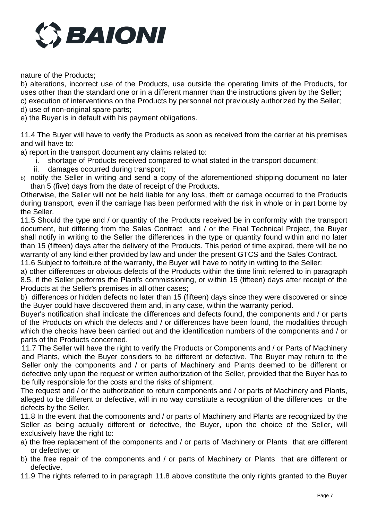

nature of the Products;

b) alterations, incorrect use of the Products, use outside the operating limits of the Products, for uses other than the standard one or in a different manner than the instructions given by the Seller; c) execution of interventions on the Products by personnel not previously authorized by the Seller; d) use of non-original spare parts;

e) the Buyer is in default with his payment obligations.

11.4 The Buyer will have to verify the Products as soon as received from the carrier at his premises and will have to:

a) report in the transport document any claims related to:

- i. shortage of Products received compared to what stated in the transport document;
- ii. damages occurred during transport;
- b) notify the Seller in writing and send a copy of the aforementioned shipping document no later than 5 (five) days from the date of receipt of the Products.

Otherwise, the Seller will not be held liable for any loss, theft or damage occurred to the Products during transport, even if the carriage has been performed with the risk in whole or in part borne by the Seller.

11.5 Should the type and / or quantity of the Products received be in conformity with the transport document, but differing from the Sales Contract and / or the Final Technical Project, the Buyer shall notify in writing to the Seller the differences in the type or quantity found within and no later than 15 (fifteen) days after the delivery of the Products. This period of time expired, there will be no warranty of any kind either provided by law and under the present GTCS and the Sales Contract.

11.6 Subject to forfeiture of the warranty, the Buyer will have to notify in writing to the Seller:

a) other differences or obvious defects of the Products within the time limit referred to in paragraph 8.5, if the Seller performs the Plant's commissioning, or within 15 (fifteen) days after receipt of the Products at the Seller's premises in all other cases;

b) differences or hidden defects no later than 15 (fifteen) days since they were discovered or since the Buyer could have discovered them and, in any case, within the warranty period.

Buyer's notification shall indicate the differences and defects found, the components and / or parts of the Products on which the defects and / or differences have been found, the modalities through which the checks have been carried out and the identification numbers of the components and / or parts of the Products concerned.

11.7 The Seller will have the right to verify the Products or Components and / or Parts of Machinery and Plants, which the Buyer considers to be different or defective. The Buyer may return to the Seller only the components and / or parts of Machinery and Plants deemed to be different or defective only upon the request or written authorization of the Seller, provided that the Buyer has to be fully responsible for the costs and the risks of shipment.

The request and / or the authorization to return components and / or parts of Machinery and Plants, alleged to be different or defective, will in no way constitute a recognition of the differences or the defects by the Seller.

11.8 In the event that the components and / or parts of Machinery and Plants are recognized by the Seller as being actually different or defective, the Buyer, upon the choice of the Seller, will exclusively have the right to:

- a) the free replacement of the components and / or parts of Machinery or Plants that are different or defective; or
- b) the free repair of the components and / or parts of Machinery or Plants that are different or defective.
- 11.9 The rights referred to in paragraph 11.8 above constitute the only rights granted to the Buyer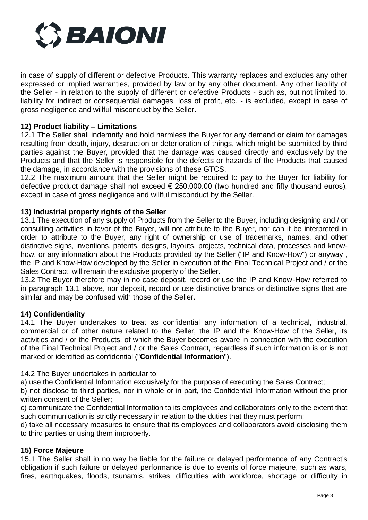

in case of supply of different or defective Products. This warranty replaces and excludes any other expressed or implied warranties, provided by law or by any other document. Any other liability of the Seller - in relation to the supply of different or defective Products - such as, but not limited to, liability for indirect or consequential damages, loss of profit, etc. - is excluded, except in case of gross negligence and willful misconduct by the Seller.

## **12) Product liability – Limitations**

12.1 The Seller shall indemnify and hold harmless the Buyer for any demand or claim for damages resulting from death, injury, destruction or deterioration of things, which might be submitted by third parties against the Buyer, provided that the damage was caused directly and exclusively by the Products and that the Seller is responsible for the defects or hazards of the Products that caused the damage, in accordance with the provisions of these GTCS.

12.2 The maximum amount that the Seller might be required to pay to the Buyer for liability for defective product damage shall not exceed  $\epsilon$  250,000,00 (two hundred and fifty thousand euros). except in case of gross negligence and willful misconduct by the Seller.

## **13) Industrial property rights of the Seller**

13.1 The execution of any supply of Products from the Seller to the Buyer, including designing and / or consulting activities in favor of the Buyer, will not attribute to the Buyer, nor can it be interpreted in order to attribute to the Buyer, any right of ownership or use of trademarks, names, and other distinctive signs, inventions, patents, designs, layouts, projects, technical data, processes and knowhow, or any information about the Products provided by the Seller ("IP and Know-How") or anyway , the IP and Know-How developed by the Seller in execution of the Final Technical Project and / or the Sales Contract, will remain the exclusive property of the Seller.

13.2 The Buyer therefore may in no case deposit, record or use the IP and Know-How referred to in paragraph 13.1 above, nor deposit, record or use distinctive brands or distinctive signs that are similar and may be confused with those of the Seller.

## **14) Confidentiality**

14.1 The Buyer undertakes to treat as confidential any information of a technical, industrial, commercial or of other nature related to the Seller, the IP and the Know-How of the Seller, its activities and / or the Products, of which the Buyer becomes aware in connection with the execution of the Final Technical Project and / or the Sales Contract, regardless if such information is or is not marked or identified as confidential ("**Confidential Information**").

14.2 The Buyer undertakes in particular to:

a) use the Confidential Information exclusively for the purpose of executing the Sales Contract;

b) not disclose to third parties, nor in whole or in part, the Confidential Information without the prior written consent of the Seller;

c) communicate the Confidential Information to its employees and collaborators only to the extent that such communication is strictly necessary in relation to the duties that they must perform;

d) take all necessary measures to ensure that its employees and collaborators avoid disclosing them to third parties or using them improperly.

## **15) Force Majeure**

15.1 The Seller shall in no way be liable for the failure or delayed performance of any Contract's obligation if such failure or delayed performance is due to events of force majeure, such as wars, fires, earthquakes, floods, tsunamis, strikes, difficulties with workforce, shortage or difficulty in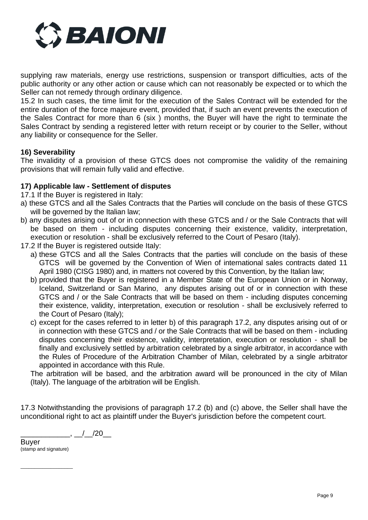

supplying raw materials, energy use restrictions, suspension or transport difficulties, acts of the public authority or any other action or cause which can not reasonably be expected or to which the Seller can not remedy through ordinary diligence.

15.2 In such cases, the time limit for the execution of the Sales Contract will be extended for the entire duration of the force majeure event, provided that, if such an event prevents the execution of the Sales Contract for more than 6 (six ) months, the Buyer will have the right to terminate the Sales Contract by sending a registered letter with return receipt or by courier to the Seller, without any liability or consequence for the Seller.

## **16) Severability**

The invalidity of a provision of these GTCS does not compromise the validity of the remaining provisions that will remain fully valid and effective.

## **17) Applicable law - Settlement of disputes**

- 17.1 If the Buyer is registered in Italy:
- a) these GTCS and all the Sales Contracts that the Parties will conclude on the basis of these GTCS will be governed by the Italian law;
- b) any disputes arising out of or in connection with these GTCS and / or the Sale Contracts that will be based on them - including disputes concerning their existence, validity, interpretation, execution or resolution - shall be exclusively referred to the Court of Pesaro (Italy).
- 17.2 If the Buyer is registered outside Italy:
	- a) these GTCS and all the Sales Contracts that the parties will conclude on the basis of these GTCS will be governed by the Convention of Wien of international sales contracts dated 11 April 1980 (CISG 1980) and, in matters not covered by this Convention, by the Italian law;
	- b) provided that the Buyer is registered in a Member State of the European Union or in Norway, Iceland, Switzerland or San Marino, any disputes arising out of or in connection with these GTCS and / or the Sale Contracts that will be based on them - including disputes concerning their existence, validity, interpretation, execution or resolution - shall be exclusively referred to the Court of Pesaro (Italy);
	- c) except for the cases referred to in letter b) of this paragraph 17.2, any disputes arising out of or in connection with these GTCS and / or the Sale Contracts that will be based on them - including disputes concerning their existence, validity, interpretation, execution or resolution - shall be finally and exclusively settled by arbitration celebrated by a single arbitrator, in accordance with the Rules of Procedure of the Arbitration Chamber of Milan, celebrated by a single arbitrator appointed in accordance with this Rule.

The arbitration will be based, and the arbitration award will be pronounced in the city of Milan (Italy). The language of the arbitration will be English.

17.3 Notwithstanding the provisions of paragraph 17.2 (b) and (c) above, the Seller shall have the unconditional right to act as plaintiff under the Buyer's jurisdiction before the competent court.

 $\frac{1}{20}$ ,  $\frac{1}{20}$ 

Buyer (stamp and signature)

 $\_$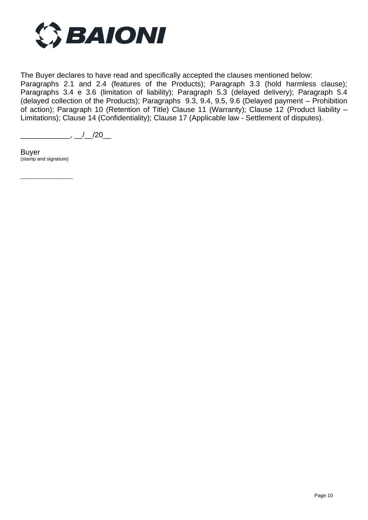

The Buyer declares to have read and specifically accepted the clauses mentioned below:

Paragraphs 2.1 and 2.4 (features of the Products); Paragraph 3.3 (hold harmless clause); Paragraphs 3.4 e 3.6 (limitation of liability); Paragraph 5.3 (delayed delivery); Paragraph 5.4 (delayed collection of the Products); Paragraphs 9.3, 9.4, 9.5, 9.6 (Delayed payment – Prohibition of action); Paragraph 10 (Retention of Title) Clause 11 (Warranty); Clause 12 (Product liability – Limitations); Clause 14 (Confidentiality); Clause 17 (Applicable law - Settlement of disputes).

 $\underline{\qquad \qquad }$ ,  $\underline{\qquad \qquad }$  /  $\underline{\qquad \qquad }$  /20\_

Buyer (stamp and signature)

 $\_$